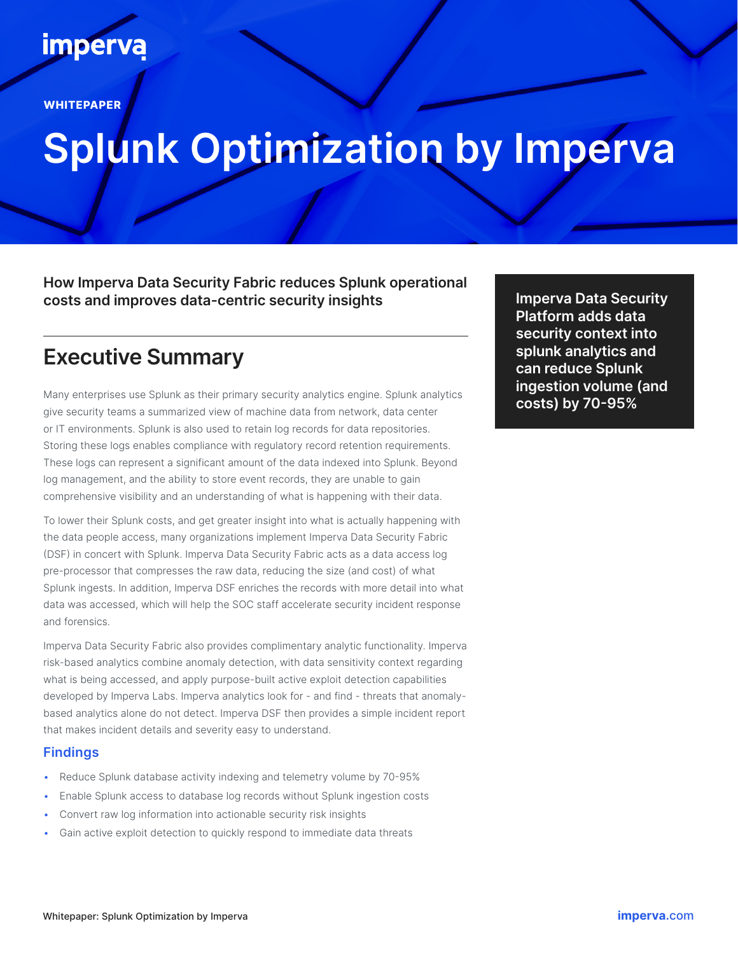## **imperva**

**WHITEPAPER**

# **Splunk Optimization by Imperva**

**How Imperva Data Security Fabric reduces Splunk operational costs and improves data-centric security insights**

## **Executive Summary**

Many enterprises use Splunk as their primary security analytics engine. Splunk analytics give security teams a summarized view of machine data from network, data center or IT environments. Splunk is also used to retain log records for data repositories. Storing these logs enables compliance with regulatory record retention requirements. These logs can represent a significant amount of the data indexed into Splunk. Beyond log management, and the ability to store event records, they are unable to gain comprehensive visibility and an understanding of what is happening with their data.

To lower their Splunk costs, and get greater insight into what is actually happening with the data people access, many organizations implement Imperva Data Security Fabric (DSF) in concert with Splunk. Imperva Data Security Fabric acts as a data access log pre-processor that compresses the raw data, reducing the size (and cost) of what Splunk ingests. In addition, Imperva DSF enriches the records with more detail into what data was accessed, which will help the SOC staff accelerate security incident response and forensics.

Imperva Data Security Fabric also provides complimentary analytic functionality. Imperva risk-based analytics combine anomaly detection, with data sensitivity context regarding what is being accessed, and apply purpose-built active exploit detection capabilities developed by Imperva Labs. Imperva analytics look for - and find - threats that anomalybased analytics alone do not detect. Imperva DSF then provides a simple incident report that makes incident details and severity easy to understand.

#### **Findings**

- Reduce Splunk database activity indexing and telemetry volume by 70-95%
- Enable Splunk access to database log records without Splunk ingestion costs
- Convert raw log information into actionable security risk insights
- Gain active exploit detection to quickly respond to immediate data threats

**Imperva Data Security Platform adds data security context into splunk analytics and can reduce Splunk ingestion volume (and costs) by 70-95%**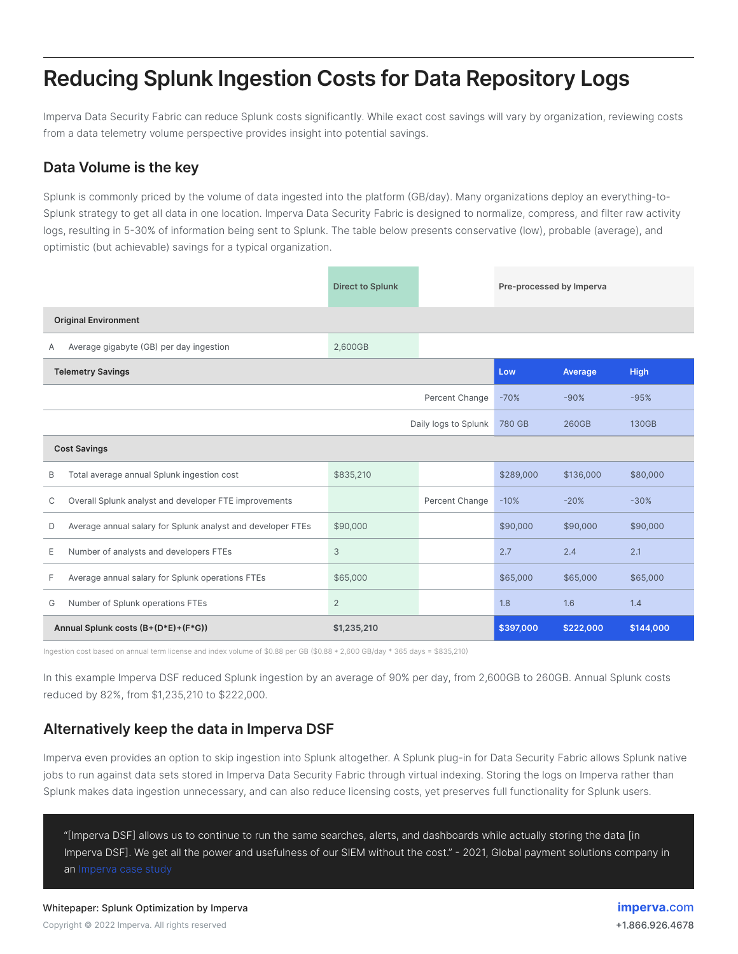## **Reducing Splunk Ingestion Costs for Data Repository Logs**

Imperva Data Security Fabric can reduce Splunk costs significantly. While exact cost savings will vary by organization, reviewing costs from a data telemetry volume perspective provides insight into potential savings.

#### **Data Volume is the key**

Splunk is commonly priced by the volume of data ingested into the platform (GB/day). Many organizations deploy an everything-to-Splunk strategy to get all data in one location. Imperva Data Security Fabric is designed to normalize, compress, and filter raw activity logs, resulting in 5-30% of information being sent to Splunk. The table below presents conservative (low), probable (average), and optimistic (but achievable) savings for a typical organization.

|                             |                                                             | <b>Direct to Splunk</b> |                | Pre-processed by Imperva |           |             |  |  |
|-----------------------------|-------------------------------------------------------------|-------------------------|----------------|--------------------------|-----------|-------------|--|--|
| <b>Original Environment</b> |                                                             |                         |                |                          |           |             |  |  |
| Α                           | Average gigabyte (GB) per day ingestion                     | 2,600GB                 |                |                          |           |             |  |  |
|                             | <b>Telemetry Savings</b>                                    |                         |                | Low                      | Average   | <b>High</b> |  |  |
|                             |                                                             |                         | Percent Change | $-70%$                   | $-90%$    | $-95%$      |  |  |
|                             | Daily logs to Splunk                                        |                         |                | 780 GB                   | 260GB     | 130GB       |  |  |
| <b>Cost Savings</b>         |                                                             |                         |                |                          |           |             |  |  |
| B                           | Total average annual Splunk ingestion cost                  | \$835,210               |                | \$289,000                | \$136,000 | \$80,000    |  |  |
| C                           | Overall Splunk analyst and developer FTE improvements       |                         | Percent Change | $-10%$                   | $-20%$    | $-30%$      |  |  |
| D                           | Average annual salary for Splunk analyst and developer FTEs | \$90,000                |                | \$90,000                 | \$90,000  | \$90,000    |  |  |
| Ε                           | Number of analysts and developers FTEs                      | 3                       |                | 2.7                      | 2.4       | 2.1         |  |  |
| F                           | Average annual salary for Splunk operations FTEs            | \$65,000                |                | \$65,000                 | \$65,000  | \$65,000    |  |  |
| G                           | Number of Splunk operations FTEs                            | $\overline{2}$          |                | 1.8                      | 1.6       | 1.4         |  |  |
|                             | Annual Splunk costs (B+(D*E)+(F*G))                         | \$1,235,210             |                | \$397,000                | \$222,000 | \$144,000   |  |  |

Ingestion cost based on annual term license and index volume of \$0.88 per GB (\$0.88 \* 2,600 GB/day \* 365 days = \$835,210)

In this example Imperva DSF reduced Splunk ingestion by an average of 90% per day, from 2,600GB to 260GB. Annual Splunk costs reduced by 82%, from \$1,235,210 to \$222,000.

#### **Alternatively keep the data in Imperva DSF**

Imperva even provides an option to skip ingestion into Splunk altogether. A Splunk plug-in for Data Security Fabric allows Splunk native jobs to run against data sets stored in Imperva Data Security Fabric through virtual indexing. Storing the logs on Imperva rather than Splunk makes data ingestion unnecessary, and can also reduce licensing costs, yet preserves full functionality for Splunk users.

"[Imperva DSF] allows us to continue to run the same searches, alerts, and dashboards while actually storing the data [in Imperva DSF]. We get all the power and usefulness of our SIEM without the cost." - 2021, Global payment solutions company in an [Imperva case study](https://www.imperva.com/resources/customers/)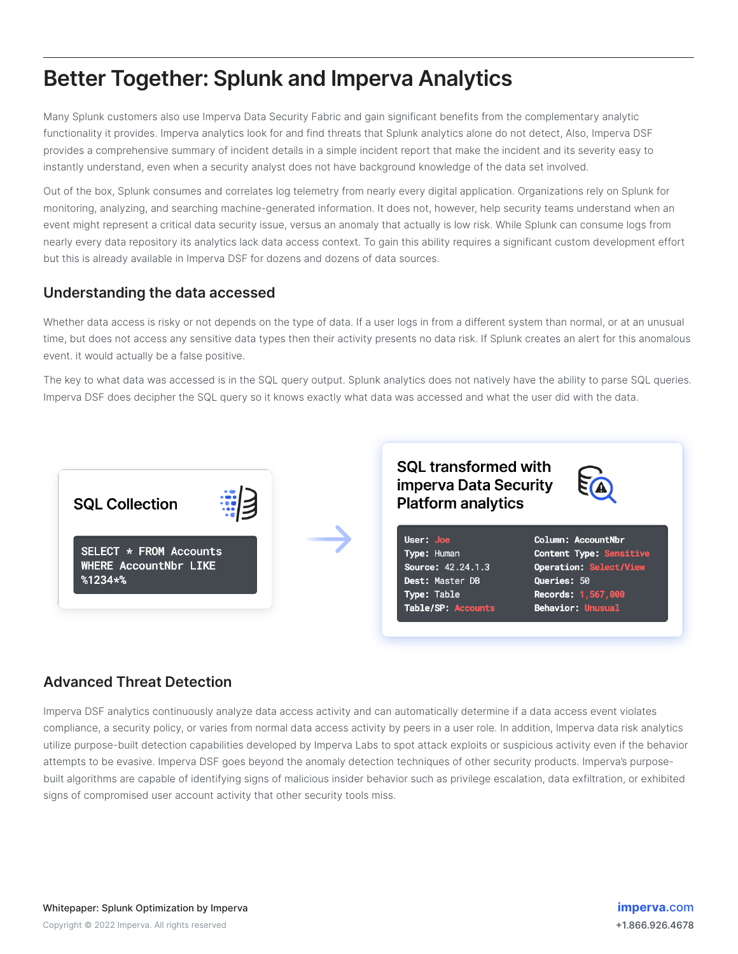## **Better Together: Splunk and Imperva Analytics**

Many Splunk customers also use Imperva Data Security Fabric and gain significant benefits from the complementary analytic functionality it provides. Imperva analytics look for and find threats that Splunk analytics alone do not detect, Also, Imperva DSF provides a comprehensive summary of incident details in a simple incident report that make the incident and its severity easy to instantly understand, even when a security analyst does not have background knowledge of the data set involved.

Out of the box, Splunk consumes and correlates log telemetry from nearly every digital application. Organizations rely on Splunk for monitoring, analyzing, and searching machine-generated information. It does not, however, help security teams understand when an event might represent a critical data security issue, versus an anomaly that actually is low risk. While Splunk can consume logs from nearly every data repository its analytics lack data access context. To gain this ability requires a significant custom development effort but this is already available in Imperva DSF for dozens and dozens of data sources.

#### **Understanding the data accessed**

Whether data access is risky or not depends on the type of data. If a user logs in from a different system than normal, or at an unusual time, but does not access any sensitive data types then their activity presents no data risk. If Splunk creates an alert for this anomalous event. it would actually be a false positive.

The key to what data was accessed is in the SQL query output. Splunk analytics does not natively have the ability to parse SQL queries. Imperva DSF does decipher the SQL query so it knows exactly what data was accessed and what the user did with the data.



#### **Advanced Threat Detection**

Imperva DSF analytics continuously analyze data access activity and can automatically determine if a data access event violates compliance, a security policy, or varies from normal data access activity by peers in a user role. In addition, Imperva data risk analytics utilize purpose-built detection capabilities developed by Imperva Labs to spot attack exploits or suspicious activity even if the behavior attempts to be evasive. Imperva DSF goes beyond the anomaly detection techniques of other security products. Imperva's purposebuilt algorithms are capable of identifying signs of malicious insider behavior such as privilege escalation, data exfiltration, or exhibited signs of compromised user account activity that other security tools miss.